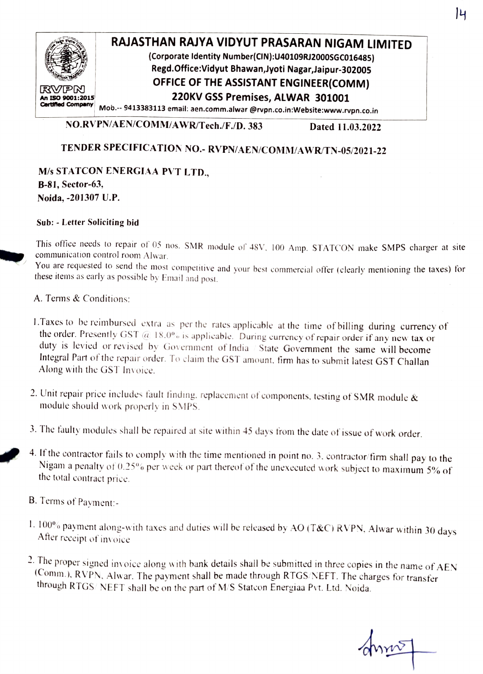

## RAJASTHAN RAJYA VIDYUT PRASARAN NIGAM LIMITED

(Corporate ldentity Number(CIN):U40109RI2000sGCO16485) Regd.Office:Vidyut Bhawan,Jyoti Nagar,Jaipur-302005 **OFFICE OF THE ASSISTANT ENGINEER(COMM)** 

220KV GSS Premises, ALWAR 301001

Mob.-- 9413383113 email: aen.comm.alwar @rvpn.co.in:Website:www.rvpn.co.in

NO.RVPN/AEN/COMM/AWR/Tech./F./D. 383 Dated 11.03.2022

## TENDER SPECIFICATION NO.- RVPN/AEN/COMM/AWR/TN-05/2021-22

M/s STATcON ENERGIAA PVT LTD., B-81, Sector-63, Noida, -201307 U.P.

## Sub:-Letter Soliciting bid

This office needs to repair of 05 nos. SMR module of 48V. 100 Amp. STATCON make SMPS charger at site communication control room Alwar.

You are requested to send the most competitive and your best commercial offer (clearly mentioning the taxes) for these items as early as possible by Email and post.

A. Terms & Conditions:

- 1.Taxes to be reimbursed extra as per the rates applicable at the time of billing during currency of the order. Presently GST  $@18.0\%$  is applicable. During currency of repair order if any new tax or duty is levied or revised by Government of India / State Government the same will become Integral Part of the repair order. To claim the GST amount. firm has to submit latest GST Challan Along with the GST Invoice.
- 2. Unit repair price includes fault finding, replacement of components, testing of SMR module  $\&$ module should work properly in SMPS.
- 3. The faulty modules shall be repaired at site within 45 days from the date of issue of work order.
- 4. If the contractor fails to comply with the time mentioned in point no. 3, contractor/firm shall pay to the Nigam a penalty of 0.25% per week or part thereof of the unexecuted work subject to maximum 5% of the total contract price.
- B. Terms of Payment:
- 1. 100% payment along-with taxes and duties will be released by AO (T&C) RVPN, Alwar within 30 days After receipt of invoice
- 2. The proper signed invoice along with bank details shall be submitted in three copies in the name of AEN (Comm.), RVPN, Alwar. The payment shall be made through RTGS/NEFT. The charges for transfer through RTGS/NEFT shall

dura